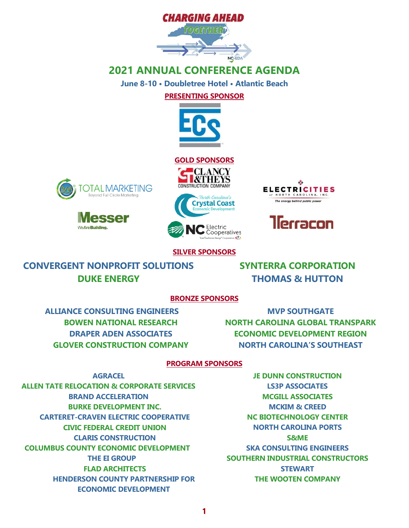

**June 8-10 • Doubletree Hotel • Atlantic Beach**

**PRESENTING SPONSOR**













#### **SILVER SPONSORS**

xta

**CONVERGENT NONPROFIT SOLUTIONS DUKE ENERGY**

**SYNTERRA CORPORATION THOMAS & HUTTON**

#### **BRONZE SPONSORS**

**ALLIANCE CONSULTING ENGINEERS BOWEN NATIONAL RESEARCH DRAPER ADEN ASSOCIATES GLOVER CONSTRUCTION COMPANY**

**MVP SOUTHGATE NORTH CAROLINA GLOBAL TRANSPARK ECONOMIC DEVELOPMENT REGION NORTH CAROLINA'S SOUTHEAST**

#### **PROGRAM SPONSORS**

**AGRACEL ALLEN TATE RELOCATION & CORPORATE SERVICES BRAND ACCELERATION BURKE DEVELOPMENT INC. CARTERET-CRAVEN ELECTRIC COOPERATIVE CIVIC FEDERAL CREDIT UNION CLARIS CONSTRUCTION COLUMBUS COUNTY ECONOMIC DEVELOPMENT THE EI GROUP FLAD ARCHITECTS HENDERSON COUNTY PARTNERSHIP FOR ECONOMIC DEVELOPMENT**

**JE DUNN CONSTRUCTION LS3P ASSOCIATES MCGILL ASSOCIATES MCKIM & CREED NC BIOTECHNOLOGY CENTER NORTH CAROLINA PORTS S&ME SKA CONSULTING ENGINEERS SOUTHERN INDUSTRIAL CONSTRUCTORS STEWART THE WOOTEN COMPANY**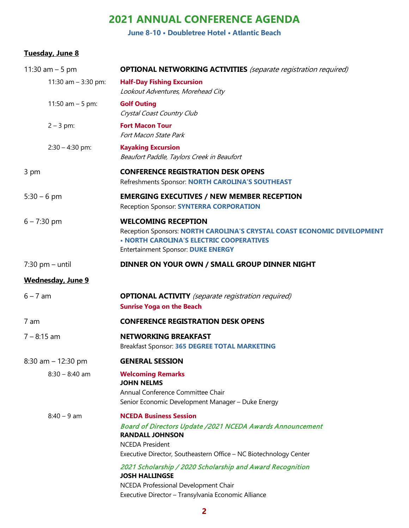**June 8-10 • Doubletree Hotel • Atlantic Beach**

#### **Tuesday, June 8**

| 11:30 am $-5$ pm         | <b>OPTIONAL NETWORKING ACTIVITIES</b> (separate registration required)                                                                                                                                                                                                                                           |  |
|--------------------------|------------------------------------------------------------------------------------------------------------------------------------------------------------------------------------------------------------------------------------------------------------------------------------------------------------------|--|
| 11:30 am $-$ 3:30 pm:    | <b>Half-Day Fishing Excursion</b><br>Lookout Adventures, Morehead City                                                                                                                                                                                                                                           |  |
| 11:50 am $-5$ pm:        | <b>Golf Outing</b><br>Crystal Coast Country Club                                                                                                                                                                                                                                                                 |  |
| $2 - 3$ pm:              | <b>Fort Macon Tour</b><br>Fort Macon State Park                                                                                                                                                                                                                                                                  |  |
| $2:30 - 4:30$ pm:        | <b>Kayaking Excursion</b><br>Beaufort Paddle, Taylors Creek in Beaufort                                                                                                                                                                                                                                          |  |
| 3 pm                     | <b>CONFERENCE REGISTRATION DESK OPENS</b><br>Refreshments Sponsor: NORTH CAROLINA'S SOUTHEAST                                                                                                                                                                                                                    |  |
| $5:30 - 6$ pm            | <b>EMERGING EXECUTIVES / NEW MEMBER RECEPTION</b><br>Reception Sponsor: SYNTERRA CORPORATION                                                                                                                                                                                                                     |  |
| $6 - 7:30$ pm            | <b>WELCOMING RECEPTION</b><br>Reception Sponsors: NORTH CAROLINA'S CRYSTAL COAST ECONOMIC DEVELOPMENT<br>. NORTH CAROLINA'S ELECTRIC COOPERATIVES<br><b>Entertainment Sponsor: DUKE ENERGY</b>                                                                                                                   |  |
| $7:30$ pm – until        | DINNER ON YOUR OWN / SMALL GROUP DINNER NIGHT                                                                                                                                                                                                                                                                    |  |
| <b>Wednesday, June 9</b> |                                                                                                                                                                                                                                                                                                                  |  |
| $6 - 7$ am               | <b>OPTIONAL ACTIVITY</b> (separate registration required)<br><b>Sunrise Yoga on the Beach</b>                                                                                                                                                                                                                    |  |
| 7 am                     | <b>CONFERENCE REGISTRATION DESK OPENS</b>                                                                                                                                                                                                                                                                        |  |
| $7 - 8:15$ am            | <b>NETWORKING BREAKFAST</b><br>Breakfast Sponsor: 365 DEGREE TOTAL MARKETING                                                                                                                                                                                                                                     |  |
| 8:30 am $-$ 12:30 pm     | <b>GENERAL SESSION</b>                                                                                                                                                                                                                                                                                           |  |
| $8:30 - 8:40$ am         | <b>Welcoming Remarks</b><br><b>JOHN NELMS</b><br>Annual Conference Committee Chair<br>Senior Economic Development Manager - Duke Energy                                                                                                                                                                          |  |
| $8:40 - 9$ am            | <b>NCEDA Business Session</b><br><b>Board of Directors Update /2021 NCEDA Awards Announcement</b><br><b>RANDALL JOHNSON</b><br><b>NCEDA President</b><br>Executive Director, Southeastern Office - NC Biotechnology Center<br>2021 Scholarship / 2020 Scholarship and Award Recognition<br><b>JOSH HALLINGSE</b> |  |
|                          | NCEDA Professional Development Chair<br>Executive Director - Transylvania Economic Alliance                                                                                                                                                                                                                      |  |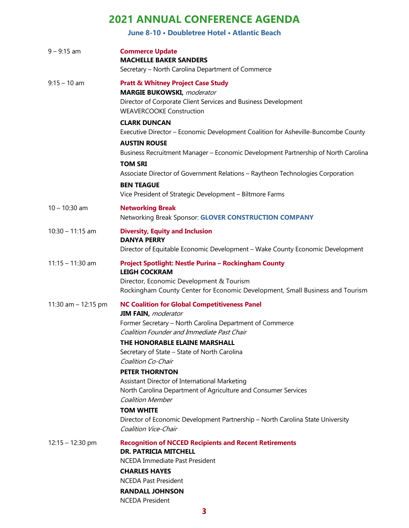**June 8-10 • Doubletree Hotel • Atlantic Beach**

| $9 - 9:15$ am         | <b>Commerce Update</b><br><b>MACHELLE BAKER SANDERS</b><br>Secretary - North Carolina Department of Commerce                                                                                                                                                                                                                                                                                                                                                                                                                                                                                                           |
|-----------------------|------------------------------------------------------------------------------------------------------------------------------------------------------------------------------------------------------------------------------------------------------------------------------------------------------------------------------------------------------------------------------------------------------------------------------------------------------------------------------------------------------------------------------------------------------------------------------------------------------------------------|
| $9:15 - 10$ am        | <b>Pratt &amp; Whitney Project Case Study</b><br><b>MARGIE BUKOWSKI</b> , moderator<br>Director of Corporate Client Services and Business Development<br><b>WEAVERCOOKE Construction</b>                                                                                                                                                                                                                                                                                                                                                                                                                               |
|                       | <b>CLARK DUNCAN</b><br>Executive Director - Economic Development Coalition for Asheville-Buncombe County                                                                                                                                                                                                                                                                                                                                                                                                                                                                                                               |
|                       | <b>AUSTIN ROUSE</b><br>Business Recruitment Manager - Economic Development Partnership of North Carolina<br><b>TOM SRI</b>                                                                                                                                                                                                                                                                                                                                                                                                                                                                                             |
|                       | Associate Director of Government Relations - Raytheon Technologies Corporation<br><b>BEN TEAGUE</b><br>Vice President of Strategic Development - Biltmore Farms                                                                                                                                                                                                                                                                                                                                                                                                                                                        |
| $10 - 10:30$ am       | <b>Networking Break</b><br>Networking Break Sponsor: GLOVER CONSTRUCTION COMPANY                                                                                                                                                                                                                                                                                                                                                                                                                                                                                                                                       |
| $10:30 - 11:15$ am    | <b>Diversity, Equity and Inclusion</b><br><b>DANYA PERRY</b><br>Director of Equitable Economic Development - Wake County Economic Development                                                                                                                                                                                                                                                                                                                                                                                                                                                                          |
| $11:15 - 11:30$ am    | Project Spotlight: Nestle Purina - Rockingham County<br><b>LEIGH COCKRAM</b><br>Director, Economic Development & Tourism<br>Rockingham County Center for Economic Development, Small Business and Tourism                                                                                                                                                                                                                                                                                                                                                                                                              |
| 11:30 am $-$ 12:15 pm | <b>NC Coalition for Global Competitiveness Panel</b><br><b>JIM FAIN, moderator</b><br>Former Secretary - North Carolina Department of Commerce<br>Coalition Founder and Immediate Past Chair<br>THE HONORABLE ELAINE MARSHALL<br>Secretary of State - State of North Carolina<br><b>Coalition Co-Chair</b><br><b>PETER THORNTON</b><br>Assistant Director of International Marketing<br>North Carolina Department of Agriculture and Consumer Services<br><b>Coalition Member</b><br><b>TOM WHITE</b><br>Director of Economic Development Partnership - North Carolina State University<br><b>Coalition Vice-Chair</b> |
| $12:15 - 12:30$ pm    | <b>Recognition of NCCED Recipients and Recent Retirements</b><br><b>DR. PATRICIA MITCHELL</b><br>NCEDA Immediate Past President<br><b>CHARLES HAYES</b><br><b>NCEDA Past President</b><br><b>RANDALL JOHNSON</b><br><b>NCEDA President</b>                                                                                                                                                                                                                                                                                                                                                                             |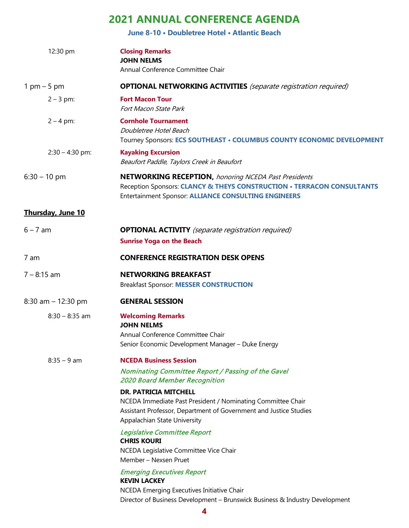**June 8-10 • Doubletree Hotel • Atlantic Beach**

| 12:30 pm                 | <b>Closing Remarks</b><br><b>JOHN NELMS</b><br>Annual Conference Committee Chair                                                                                                                     |
|--------------------------|------------------------------------------------------------------------------------------------------------------------------------------------------------------------------------------------------|
| $1$ pm $-5$ pm           | <b>OPTIONAL NETWORKING ACTIVITIES</b> (separate registration required)                                                                                                                               |
| $2 - 3$ pm:              | <b>Fort Macon Tour</b><br>Fort Macon State Park                                                                                                                                                      |
| $2 - 4$ pm:              | <b>Cornhole Tournament</b><br>Doubletree Hotel Beach<br>Tourney Sponsors: ECS SOUTHEAST . COLUMBUS COUNTY ECONOMIC DEVELOPMENT                                                                       |
| $2:30 - 4:30$ pm:        | <b>Kayaking Excursion</b><br>Beaufort Paddle, Taylors Creek in Beaufort                                                                                                                              |
| $6:30 - 10$ pm           | <b>NETWORKING RECEPTION, honoring NCEDA Past Presidents</b><br>Reception Sponsors: CLANCY & THEYS CONSTRUCTION . TERRACON CONSULTANTS<br><b>Entertainment Sponsor: ALLIANCE CONSULTING ENGINEERS</b> |
| <b>Thursday, June 10</b> |                                                                                                                                                                                                      |
| $6 - 7$ am               | <b>OPTIONAL ACTIVITY</b> (separate registration required)<br><b>Sunrise Yoga on the Beach</b>                                                                                                        |
| 7 am                     | <b>CONFERENCE REGISTRATION DESK OPENS</b>                                                                                                                                                            |
| $7 - 8:15$ am            | <b>NETWORKING BREAKFAST</b><br><b>Breakfast Sponsor: MESSER CONSTRUCTION</b>                                                                                                                         |
| 8:30 am $- 12:30$ pm     | <b>GENERAL SESSION</b>                                                                                                                                                                               |
| $8:30 - 8:35$ am         | <b>Welcoming Remarks</b><br><b>JOHN NELMS</b><br>Annual Conference Committee Chair<br>Senior Economic Development Manager - Duke Energy                                                              |
| $8:35 - 9$ am            | <b>NCEDA Business Session</b>                                                                                                                                                                        |
|                          | Nominating Committee Report / Passing of the Gavel<br><b>2020 Board Member Recognition</b>                                                                                                           |
|                          | <b>DR. PATRICIA MITCHELL</b><br>NCEDA Immediate Past President / Nominating Committee Chair<br>Assistant Professor, Department of Government and Justice Studies<br>Appalachian State University     |
|                          | Legislative Committee Report<br><b>CHRIS KOURI</b><br>NCEDA Legislative Committee Vice Chair<br>Member - Nexsen Pruet                                                                                |
|                          | <b>Emerging Executives Report</b><br><b>KEVIN LACKEY</b><br>NCEDA Emerging Executives Initiative Chair<br>Director of Business Development - Brunswick Business & Industry Development               |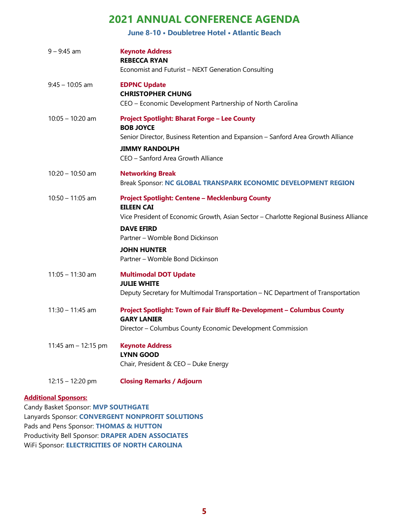**June 8-10 • Doubletree Hotel • Atlantic Beach**

| $9 - 9:45$ am       | <b>Keynote Address</b><br><b>REBECCA RYAN</b><br>Economist and Futurist - NEXT Generation Consulting                                                                                                                                                                                   |
|---------------------|----------------------------------------------------------------------------------------------------------------------------------------------------------------------------------------------------------------------------------------------------------------------------------------|
| $9:45 - 10:05$ am   | <b>EDPNC Update</b><br><b>CHRISTOPHER CHUNG</b><br>CEO - Economic Development Partnership of North Carolina                                                                                                                                                                            |
| $10:05 - 10:20$ am  | <b>Project Spotlight: Bharat Forge - Lee County</b><br><b>BOB JOYCE</b><br>Senior Director, Business Retention and Expansion - Sanford Area Growth Alliance<br><b>JIMMY RANDOLPH</b><br>CEO - Sanford Area Growth Alliance                                                             |
| $10:20 - 10:50$ am  | <b>Networking Break</b><br>Break Sponsor: NC GLOBAL TRANSPARK ECONOMIC DEVELOPMENT REGION                                                                                                                                                                                              |
| $10:50 - 11:05$ am  | <b>Project Spotlight: Centene - Mecklenburg County</b><br><b>EILEEN CAI</b><br>Vice President of Economic Growth, Asian Sector - Charlotte Regional Business Alliance<br><b>DAVE EFIRD</b><br>Partner - Womble Bond Dickinson<br><b>JOHN HUNTER</b><br>Partner - Womble Bond Dickinson |
| $11:05 - 11:30$ am  | <b>Multimodal DOT Update</b><br><b>JULIE WHITE</b><br>Deputy Secretary for Multimodal Transportation - NC Department of Transportation                                                                                                                                                 |
| $11:30 - 11:45$ am  | Project Spotlight: Town of Fair Bluff Re-Development - Columbus County<br><b>GARY LANIER</b><br>Director - Columbus County Economic Development Commission                                                                                                                             |
| 11:45 am - 12:15 pm | <b>Keynote Address</b><br><b>LYNN GOOD</b><br>Chair, President & CEO - Duke Energy                                                                                                                                                                                                     |
| 12:15 - 12:20 pm    | <b>Closing Remarks / Adjourn</b>                                                                                                                                                                                                                                                       |

#### **Additional Sponsors:**

Candy Basket Sponsor: **MVP SOUTHGATE** Lanyards Sponsor: **CONVERGENT NONPROFIT SOLUTIONS** Pads and Pens Sponsor: **THOMAS & HUTTON** Productivity Bell Sponsor: **DRAPER ADEN ASSOCIATES** WiFi Sponsor: **ELECTRICITIES OF NORTH CAROLINA**